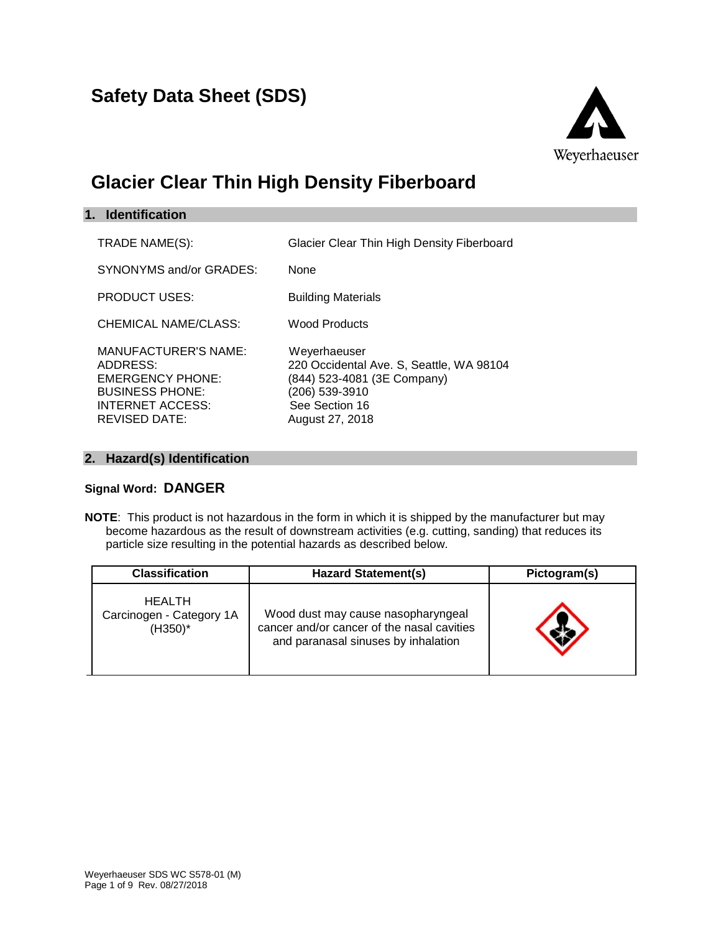

# **Glacier Clear Thin High Density Fiberboard**

| 1. Identification                                                                                                                        |                                                                                                                                                |
|------------------------------------------------------------------------------------------------------------------------------------------|------------------------------------------------------------------------------------------------------------------------------------------------|
| TRADE NAME(S):                                                                                                                           | Glacier Clear Thin High Density Fiberboard                                                                                                     |
| SYNONYMS and/or GRADES:                                                                                                                  | <b>None</b>                                                                                                                                    |
| <b>PRODUCT USES:</b>                                                                                                                     | <b>Building Materials</b>                                                                                                                      |
| CHEMICAL NAME/CLASS:                                                                                                                     | <b>Wood Products</b>                                                                                                                           |
| <b>MANUFACTURER'S NAME:</b><br>ADDRESS:<br><b>EMERGENCY PHONE:</b><br><b>BUSINESS PHONE:</b><br>INTERNET ACCESS:<br><b>REVISED DATE:</b> | Weyerhaeuser<br>220 Occidental Ave. S, Seattle, WA 98104<br>(844) 523-4081 (3E Company)<br>(206) 539-3910<br>See Section 16<br>August 27, 2018 |

# **2. Hazard(s) Identification**

# **Signal Word: DANGER**

**NOTE**: This product is not hazardous in the form in which it is shipped by the manufacturer but may become hazardous as the result of downstream activities (e.g. cutting, sanding) that reduces its particle size resulting in the potential hazards as described below.

| <b>Classification</b>                                   | <b>Hazard Statement(s)</b>                                                                                              | Pictogram(s) |
|---------------------------------------------------------|-------------------------------------------------------------------------------------------------------------------------|--------------|
| <b>HEALTH</b><br>Carcinogen - Category 1A<br>$(H350)^*$ | Wood dust may cause nasopharyngeal<br>cancer and/or cancer of the nasal cavities<br>and paranasal sinuses by inhalation |              |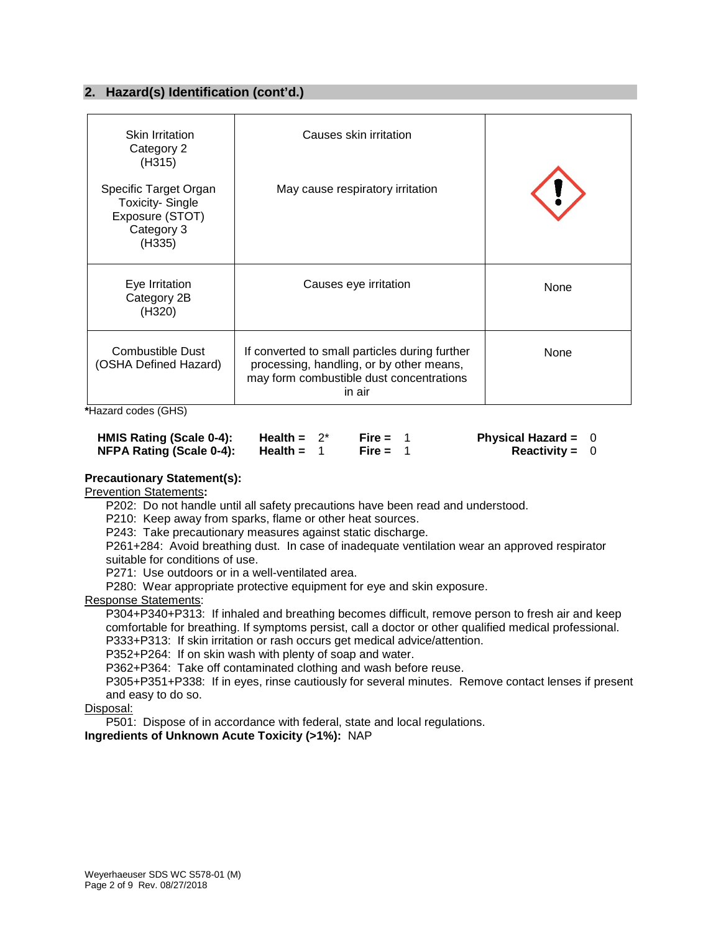# **2. Hazard(s) Identification (cont'd.)**

| <b>Skin Irritation</b><br>Category 2<br>(H315)                                             | Causes skin irritation                                                                                                                           |      |
|--------------------------------------------------------------------------------------------|--------------------------------------------------------------------------------------------------------------------------------------------------|------|
| Specific Target Organ<br><b>Toxicity-Single</b><br>Exposure (STOT)<br>Category 3<br>(H335) | May cause respiratory irritation                                                                                                                 |      |
| Eye Irritation<br>Category 2B<br>(H320)                                                    | Causes eye irritation                                                                                                                            | None |
| Combustible Dust<br>(OSHA Defined Hazard)                                                  | If converted to small particles during further<br>processing, handling, or by other means,<br>may form combustible dust concentrations<br>in air | None |

**\***Hazard codes (GHS)

| HMIS Rating (Scale 0-4):        | Health = $2^*$ | Fire = $1$ | <b>Physical Hazard = <math>0</math></b> |  |
|---------------------------------|----------------|------------|-----------------------------------------|--|
| <b>NFPA Rating (Scale 0-4):</b> | Health =       | Fire = $1$ | <b>Reactivity = 0</b>                   |  |

#### **Precautionary Statement(s):**

Prevention Statements**:**

P202: Do not handle until all safety precautions have been read and understood.

P210: Keep away from sparks, flame or other heat sources.

P243: Take precautionary measures against static discharge.

P261+284: Avoid breathing dust. In case of inadequate ventilation wear an approved respirator suitable for conditions of use.

P271: Use outdoors or in a well-ventilated area.

P280: Wear appropriate protective equipment for eye and skin exposure.

#### Response Statements:

P304+P340+P313: If inhaled and breathing becomes difficult, remove person to fresh air and keep comfortable for breathing. If symptoms persist, call a doctor or other qualified medical professional. P333+P313: If skin irritation or rash occurs get medical advice/attention.

P352+P264: If on skin wash with plenty of soap and water.

P362+P364: Take off contaminated clothing and wash before reuse.

P305+P351+P338: If in eyes, rinse cautiously for several minutes. Remove contact lenses if present and easy to do so.

Disposal:

P501: Dispose of in accordance with federal, state and local regulations.

**Ingredients of Unknown Acute Toxicity (>1%):** NAP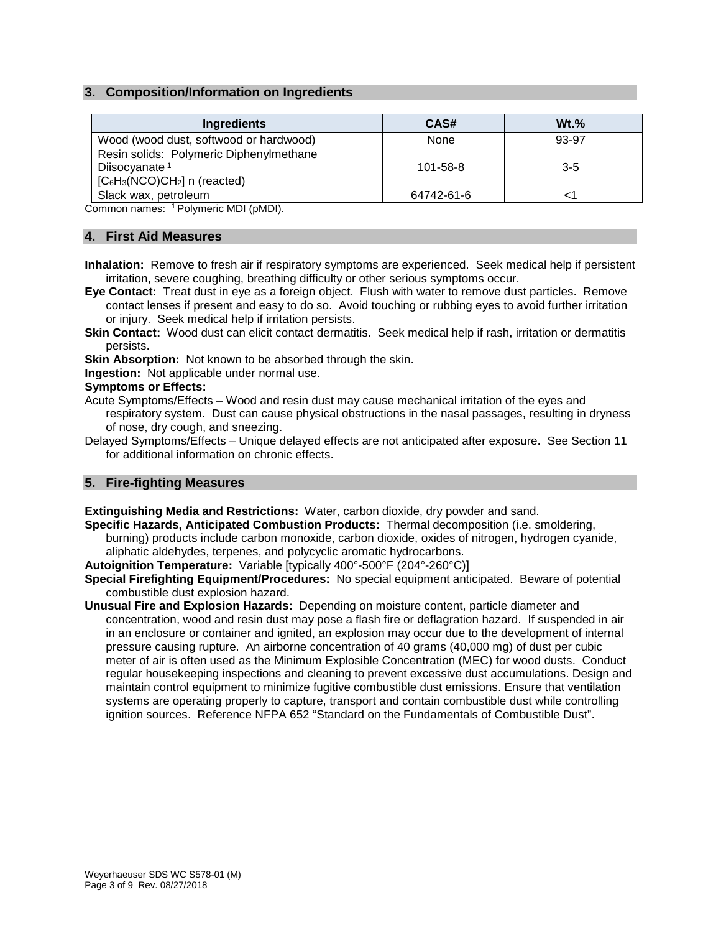# **3. Composition/Information on Ingredients**

| <b>Ingredients</b>                                                                                      | CAS#           | $Wt.$ % |
|---------------------------------------------------------------------------------------------------------|----------------|---------|
| Wood (wood dust, softwood or hardwood)                                                                  | None           | 93-97   |
| Resin solids: Polymeric Diphenylmethane<br>Diisocyanate <sup>1</sup><br>$[C_6H_3(NCO)CH_2]$ n (reacted) | $101 - 58 - 8$ | $3-5$   |
| Slack wax, petroleum                                                                                    | 64742-61-6     |         |

Common names: 1 Polymeric MDI (pMDI).

#### **4. First Aid Measures**

**Inhalation:** Remove to fresh air if respiratory symptoms are experienced. Seek medical help if persistent irritation, severe coughing, breathing difficulty or other serious symptoms occur.

**Eye Contact:** Treat dust in eye as a foreign object. Flush with water to remove dust particles. Remove contact lenses if present and easy to do so. Avoid touching or rubbing eyes to avoid further irritation or injury. Seek medical help if irritation persists.

**Skin Contact:** Wood dust can elicit contact dermatitis. Seek medical help if rash, irritation or dermatitis persists.

**Skin Absorption:** Not known to be absorbed through the skin.

**Ingestion:** Not applicable under normal use.

#### **Symptoms or Effects:**

- Acute Symptoms/Effects Wood and resin dust may cause mechanical irritation of the eyes and respiratory system. Dust can cause physical obstructions in the nasal passages, resulting in dryness of nose, dry cough, and sneezing.
- Delayed Symptoms/Effects Unique delayed effects are not anticipated after exposure. See Section 11 for additional information on chronic effects.

#### **5. Fire-fighting Measures**

#### **Extinguishing Media and Restrictions:** Water, carbon dioxide, dry powder and sand.

**Specific Hazards, Anticipated Combustion Products:** Thermal decomposition (i.e. smoldering, burning) products include carbon monoxide, carbon dioxide, oxides of nitrogen, hydrogen cyanide, aliphatic aldehydes, terpenes, and polycyclic aromatic hydrocarbons.

**Autoignition Temperature:** Variable [typically 400°-500°F (204°-260°C)]

- **Special Firefighting Equipment/Procedures:** No special equipment anticipated. Beware of potential combustible dust explosion hazard.
- **Unusual Fire and Explosion Hazards:** Depending on moisture content, particle diameter and concentration, wood and resin dust may pose a flash fire or deflagration hazard. If suspended in air in an enclosure or container and ignited, an explosion may occur due to the development of internal pressure causing rupture. An airborne concentration of 40 grams (40,000 mg) of dust per cubic meter of air is often used as the Minimum Explosible Concentration (MEC) for wood dusts. Conduct regular housekeeping inspections and cleaning to prevent excessive dust accumulations. Design and maintain control equipment to minimize fugitive combustible dust emissions. Ensure that ventilation systems are operating properly to capture, transport and contain combustible dust while controlling ignition sources. Reference NFPA 652 "Standard on the Fundamentals of Combustible Dust".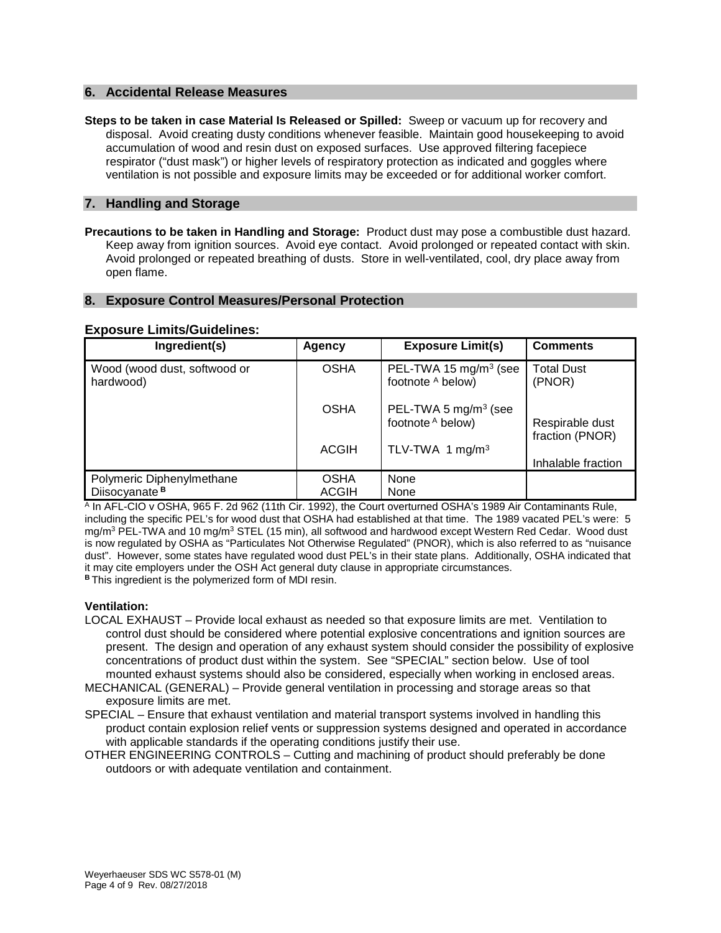#### **6. Accidental Release Measures**

**Steps to be taken in case Material Is Released or Spilled:** Sweep or vacuum up for recovery and disposal. Avoid creating dusty conditions whenever feasible. Maintain good housekeeping to avoid accumulation of wood and resin dust on exposed surfaces. Use approved filtering facepiece respirator ("dust mask") or higher levels of respiratory protection as indicated and goggles where ventilation is not possible and exposure limits may be exceeded or for additional worker comfort.

### **7. Handling and Storage**

**Precautions to be taken in Handling and Storage:** Product dust may pose a combustible dust hazard. Keep away from ignition sources. Avoid eye contact. Avoid prolonged or repeated contact with skin. Avoid prolonged or repeated breathing of dusts. Store in well-ventilated, cool, dry place away from open flame.

#### **8. Exposure Control Measures/Personal Protection**

#### **Exposure Limits/Guidelines:**

| Ingredient(s)                                          | Agency               | <b>Exposure Limit(s)</b>                               | <b>Comments</b>                    |
|--------------------------------------------------------|----------------------|--------------------------------------------------------|------------------------------------|
| Wood (wood dust, softwood or<br>hardwood)              | <b>OSHA</b>          | PEL-TWA 15 mg/m <sup>3</sup> (see<br>footnote A below) | <b>Total Dust</b><br>(PNOR)        |
|                                                        | <b>OSHA</b>          | PEL-TWA 5 mg/m <sup>3</sup> (see<br>footnote A below)  | Respirable dust<br>fraction (PNOR) |
|                                                        | <b>ACGIH</b>         | TLV-TWA 1 mg/m <sup>3</sup>                            | Inhalable fraction                 |
| Polymeric Diphenylmethane<br>Diisocyanate <sup>B</sup> | <b>OSHA</b><br>ACGIH | None<br>None                                           |                                    |

<sup>A</sup> In AFL-CIO v OSHA, 965 F. 2d 962 (11th Cir. 1992), the Court overturned OSHA's 1989 Air Contaminants Rule, including the specific PEL's for wood dust that OSHA had established at that time. The 1989 vacated PEL's were: 5 mg/m<sup>3</sup> PEL-TWA and 10 mg/m<sup>3</sup> STEL (15 min), all softwood and hardwood except Western Red Cedar. Wood dust is now regulated by OSHA as "Particulates Not Otherwise Regulated" (PNOR), which is also referred to as "nuisance dust". However, some states have regulated wood dust PEL's in their state plans. Additionally, OSHA indicated that it may cite employers under the OSH Act general duty clause in appropriate circumstances. **<sup>B</sup>**This ingredient is the polymerized form of MDI resin.

#### **Ventilation:**

- LOCAL EXHAUST Provide local exhaust as needed so that exposure limits are met. Ventilation to control dust should be considered where potential explosive concentrations and ignition sources are present. The design and operation of any exhaust system should consider the possibility of explosive concentrations of product dust within the system. See "SPECIAL" section below. Use of tool mounted exhaust systems should also be considered, especially when working in enclosed areas.
- MECHANICAL (GENERAL) Provide general ventilation in processing and storage areas so that exposure limits are met.
- SPECIAL Ensure that exhaust ventilation and material transport systems involved in handling this product contain explosion relief vents or suppression systems designed and operated in accordance with applicable standards if the operating conditions justify their use.
- OTHER ENGINEERING CONTROLS Cutting and machining of product should preferably be done outdoors or with adequate ventilation and containment.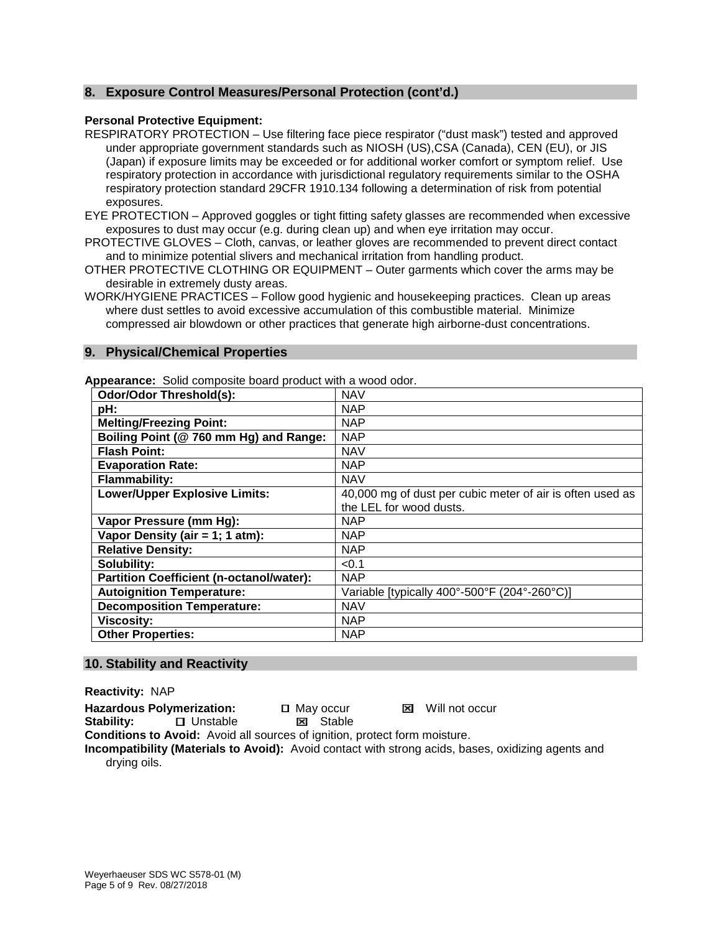# **8. Exposure Control Measures/Personal Protection (cont'd.)**

#### **Personal Protective Equipment:**

RESPIRATORY PROTECTION – Use filtering face piece respirator ("dust mask") tested and approved under appropriate government standards such as NIOSH (US),CSA (Canada), CEN (EU), or JIS (Japan) if exposure limits may be exceeded or for additional worker comfort or symptom relief. Use respiratory protection in accordance with jurisdictional regulatory requirements similar to the OSHA respiratory protection standard 29CFR 1910.134 following a determination of risk from potential exposures.

EYE PROTECTION – Approved goggles or tight fitting safety glasses are recommended when excessive exposures to dust may occur (e.g. during clean up) and when eye irritation may occur.

- PROTECTIVE GLOVES Cloth, canvas, or leather gloves are recommended to prevent direct contact and to minimize potential slivers and mechanical irritation from handling product.
- OTHER PROTECTIVE CLOTHING OR EQUIPMENT Outer garments which cover the arms may be desirable in extremely dusty areas.

WORK/HYGIENE PRACTICES – Follow good hygienic and housekeeping practices. Clean up areas where dust settles to avoid excessive accumulation of this combustible material. Minimize compressed air blowdown or other practices that generate high airborne-dust concentrations.

# **9. Physical/Chemical Properties**

**Appearance:** Solid composite board product with a wood odor.

| <b>Odor/Odor Threshold(s):</b>                  | <b>NAV</b>                                                |
|-------------------------------------------------|-----------------------------------------------------------|
| pH:                                             | <b>NAP</b>                                                |
| <b>Melting/Freezing Point:</b>                  | <b>NAP</b>                                                |
| Boiling Point (@ 760 mm Hg) and Range:          | <b>NAP</b>                                                |
| <b>Flash Point:</b>                             | <b>NAV</b>                                                |
| <b>Evaporation Rate:</b>                        | <b>NAP</b>                                                |
| <b>Flammability:</b>                            | <b>NAV</b>                                                |
| <b>Lower/Upper Explosive Limits:</b>            | 40,000 mg of dust per cubic meter of air is often used as |
|                                                 | the LEL for wood dusts.                                   |
| Vapor Pressure (mm Hg):                         | <b>NAP</b>                                                |
| Vapor Density (air = 1; 1 atm):                 | <b>NAP</b>                                                |
| <b>Relative Density:</b>                        | <b>NAP</b>                                                |
| Solubility:                                     | < 0.1                                                     |
| <b>Partition Coefficient (n-octanol/water):</b> | <b>NAP</b>                                                |
| <b>Autoignition Temperature:</b>                | Variable [typically 400°-500°F (204°-260°C)]              |
| <b>Decomposition Temperature:</b>               | <b>NAV</b>                                                |
| <b>Viscosity:</b>                               | <b>NAP</b>                                                |
| <b>Other Properties:</b>                        | <b>NAP</b>                                                |

#### **10. Stability and Reactivity**

**Reactivity:** NAP

Hazardous Polymerization: <br> **Hazardous Polymerization:** <br> **D** May occur <br> **May occur** 

**Stability:** □ Unstable ■ Stable

**Conditions to Avoid:** Avoid all sources of ignition, protect form moisture.

**Incompatibility (Materials to Avoid):** Avoid contact with strong acids, bases, oxidizing agents and drying oils.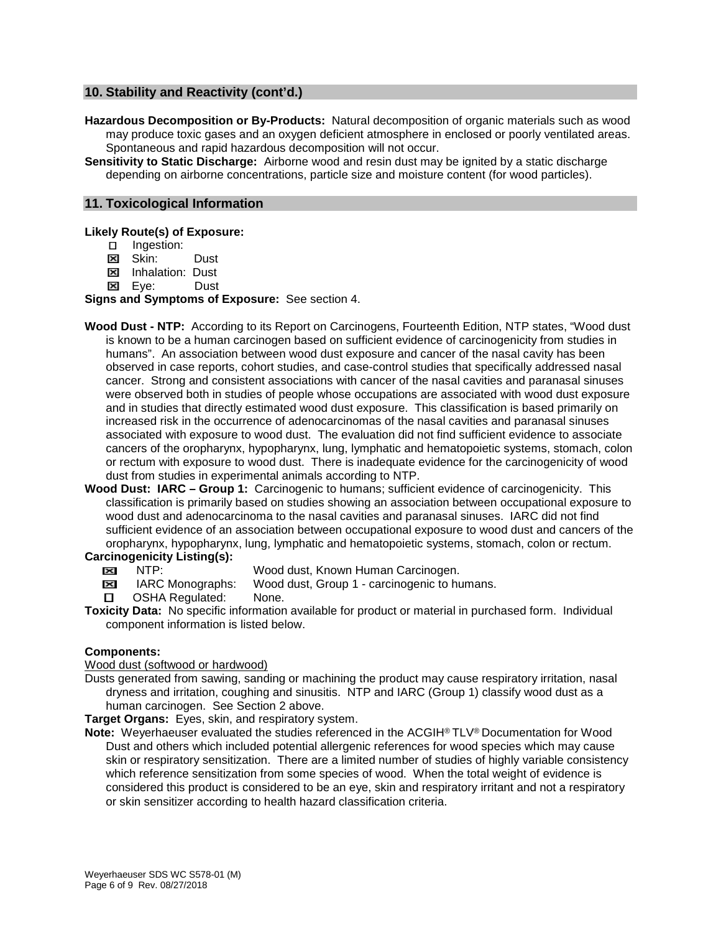# **10. Stability and Reactivity (cont'd.)**

- **Hazardous Decomposition or By-Products:** Natural decomposition of organic materials such as wood may produce toxic gases and an oxygen deficient atmosphere in enclosed or poorly ventilated areas. Spontaneous and rapid hazardous decomposition will not occur.
- **Sensitivity to Static Discharge:** Airborne wood and resin dust may be ignited by a static discharge depending on airborne concentrations, particle size and moisture content (for wood particles).

#### **11. Toxicological Information**

**Likely Route(s) of Exposure:**

- **E** Ingestion:
- **EX** Skin: Dust
- **EX** Inhalation: Dust
- Eye:Dust

**Signs and Symptoms of Exposure:** See section 4.

- **Wood Dust - NTP:** According to its Report on Carcinogens, Fourteenth Edition, NTP states, "Wood dust is known to be a human carcinogen based on sufficient evidence of carcinogenicity from studies in humans". An association between wood dust exposure and cancer of the nasal cavity has been observed in case reports, cohort studies, and case-control studies that specifically addressed nasal cancer. Strong and consistent associations with cancer of the nasal cavities and paranasal sinuses were observed both in studies of people whose occupations are associated with wood dust exposure and in studies that directly estimated wood dust exposure. This classification is based primarily on increased risk in the occurrence of adenocarcinomas of the nasal cavities and paranasal sinuses associated with exposure to wood dust. The evaluation did not find sufficient evidence to associate cancers of the oropharynx, hypopharynx, lung, lymphatic and hematopoietic systems, stomach, colon or rectum with exposure to wood dust. There is inadequate evidence for the carcinogenicity of wood dust from studies in experimental animals according to NTP.
- **Wood Dust: IARC – Group 1:** Carcinogenic to humans; sufficient evidence of carcinogenicity. This classification is primarily based on studies showing an association between occupational exposure to wood dust and adenocarcinoma to the nasal cavities and paranasal sinuses. IARC did not find sufficient evidence of an association between occupational exposure to wood dust and cancers of the oropharynx, hypopharynx, lung, lymphatic and hematopoietic systems, stomach, colon or rectum.

# **Carcinogenicity Listing(s):**<br>**EXI** NTP:

- **EXECUPERENT PROBUT AT PET SET ASSES** MOOD dust, Known Human Carcinogen.<br> **EXECUPERENT ARC Monographs:** Wood dust, Group 1 carcinogenic to hu
- IMBI IARC Monographs: Wood dust, Group 1 carcinogenic to humans.
- **D** OSHA Regulated: None.
- **Toxicity Data:** No specific information available for product or material in purchased form. Individual component information is listed below.

#### **Components:**

#### Wood dust (softwood or hardwood)

Dusts generated from sawing, sanding or machining the product may cause respiratory irritation, nasal dryness and irritation, coughing and sinusitis. NTP and IARC (Group 1) classify wood dust as a human carcinogen. See Section 2 above.

**Target Organs:** Eyes, skin, and respiratory system.

**Note:** Weyerhaeuser evaluated the studies referenced in the ACGIH® TLV® Documentation for Wood Dust and others which included potential allergenic references for wood species which may cause skin or respiratory sensitization. There are a limited number of studies of highly variable consistency which reference sensitization from some species of wood. When the total weight of evidence is considered this product is considered to be an eye, skin and respiratory irritant and not a respiratory or skin sensitizer according to health hazard classification criteria.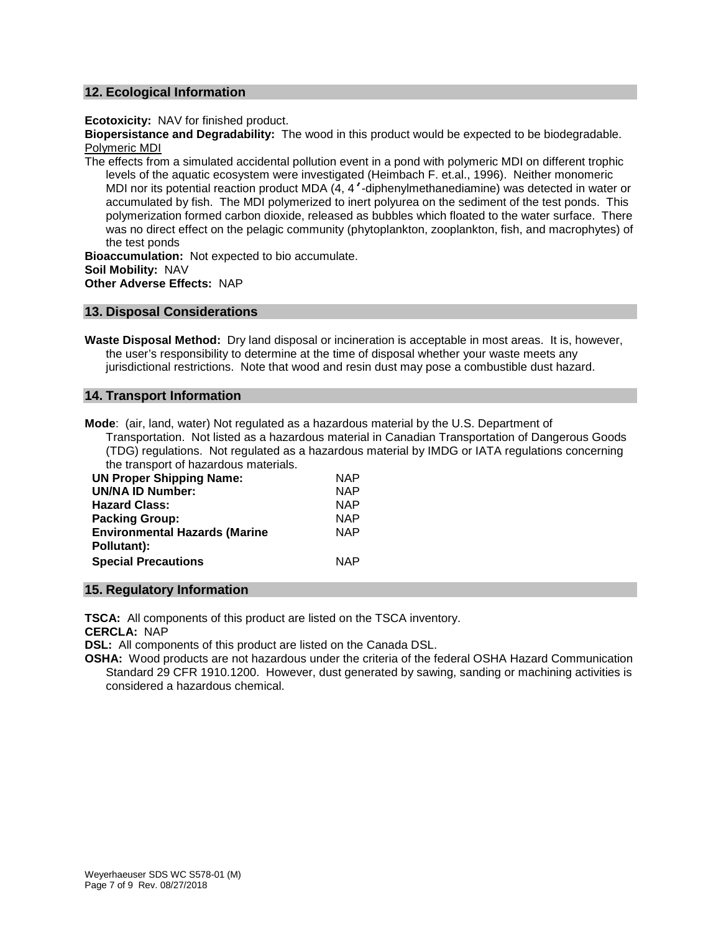#### **12. Ecological Information**

**Ecotoxicity:** NAV for finished product.

**Biopersistance and Degradability:** The wood in this product would be expected to be biodegradable. Polymeric MDI

The effects from a simulated accidental pollution event in a pond with polymeric MDI on different trophic levels of the aquatic ecosystem were investigated (Heimbach F. et.al., 1996). Neither monomeric MDI nor its potential reaction product MDA (4, 4'-diphenylmethanediamine) was detected in water or accumulated by fish. The MDI polymerized to inert polyurea on the sediment of the test ponds. This polymerization formed carbon dioxide, released as bubbles which floated to the water surface. There was no direct effect on the pelagic community (phytoplankton, zooplankton, fish, and macrophytes) of the test ponds

**Bioaccumulation:** Not expected to bio accumulate. **Soil Mobility:** NAV **Other Adverse Effects:** NAP

#### **13. Disposal Considerations**

**Waste Disposal Method:** Dry land disposal or incineration is acceptable in most areas. It is, however, the user's responsibility to determine at the time of disposal whether your waste meets any jurisdictional restrictions. Note that wood and resin dust may pose a combustible dust hazard.

#### **14. Transport Information**

**Mode**: (air, land, water) Not regulated as a hazardous material by the U.S. Department of Transportation. Not listed as a hazardous material in Canadian Transportation of Dangerous Goods (TDG) regulations. Not regulated as a hazardous material by IMDG or IATA regulations concerning the transport of hazardous materials.

| <b>UN Proper Shipping Name:</b>      | <b>NAP</b> |
|--------------------------------------|------------|
| <b>UN/NA ID Number:</b>              | <b>NAP</b> |
| <b>Hazard Class:</b>                 | <b>NAP</b> |
| <b>Packing Group:</b>                | <b>NAP</b> |
| <b>Environmental Hazards (Marine</b> | <b>NAP</b> |
| Pollutant):                          |            |
| <b>Special Precautions</b>           | <b>NAP</b> |

#### **15. Regulatory Information**

**TSCA:** All components of this product are listed on the TSCA inventory.

**CERCLA:** NAP

**DSL:** All components of this product are listed on the Canada DSL.

**OSHA:** Wood products are not hazardous under the criteria of the federal OSHA Hazard Communication Standard 29 CFR 1910.1200. However, dust generated by sawing, sanding or machining activities is considered a hazardous chemical.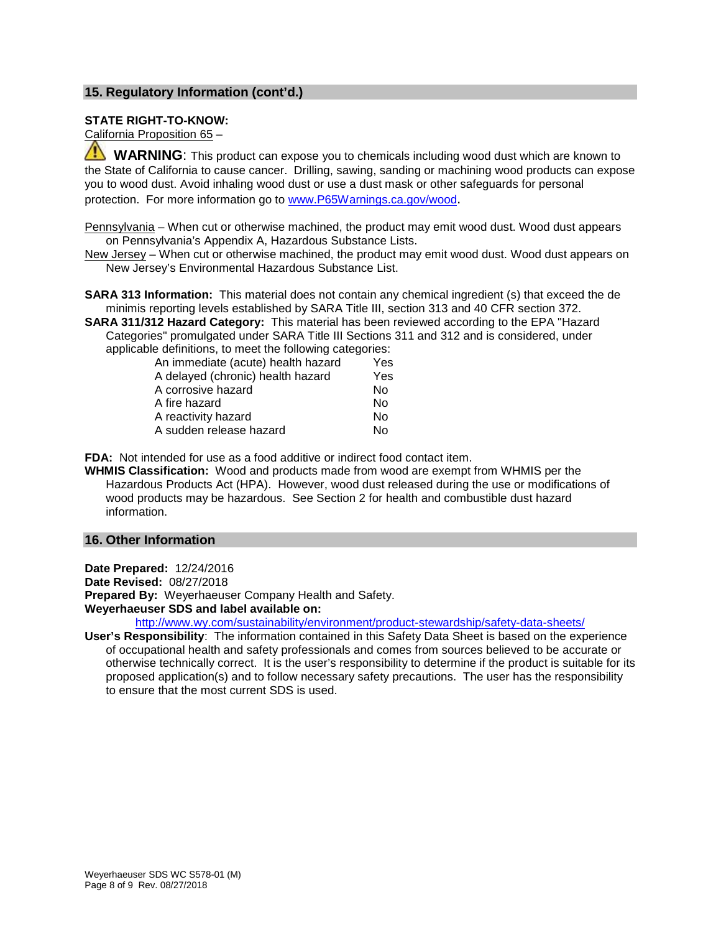# **15. Regulatory Information (cont'd.)**

#### **STATE RIGHT-TO-KNOW:**

California Proposition 65 –

 **WARNING**: This product can expose you to chemicals including wood dust which are known to the State of California to cause cancer. Drilling, sawing, sanding or machining wood products can expose you to wood dust. Avoid inhaling wood dust or use a dust mask or other safeguards for personal protection. For more information go to [www.P65Warnings.ca.gov/wood.](http://www.p65warnings.ca.gov/wood)

Pennsylvania – When cut or otherwise machined, the product may emit wood dust. Wood dust appears on Pennsylvania's Appendix A, Hazardous Substance Lists.

New Jersey – When cut or otherwise machined, the product may emit wood dust. Wood dust appears on New Jersey's Environmental Hazardous Substance List.

**SARA 313 Information:** This material does not contain any chemical ingredient (s) that exceed the de minimis reporting levels established by SARA Title III, section 313 and 40 CFR section 372.

**SARA 311/312 Hazard Category:** This material has been reviewed according to the EPA "Hazard Categories" promulgated under SARA Title III Sections 311 and 312 and is considered, under applicable definitions, to meet the following categories:

| An immediate (acute) health hazard |  | Yes |
|------------------------------------|--|-----|
| A delayed (chronic) health hazard  |  | Yes |
| A corrosive hazard                 |  | Nο  |
| A fire hazard                      |  | Nο  |
| A reactivity hazard                |  | Nο  |
| A sudden release hazard            |  | N٥  |
|                                    |  |     |

**FDA:** Not intended for use as a food additive or indirect food contact item.

**WHMIS Classification:** Wood and products made from wood are exempt from WHMIS per the Hazardous Products Act (HPA). However, wood dust released during the use or modifications of wood products may be hazardous. See Section 2 for health and combustible dust hazard information.

# **16. Other Information**

**Date Prepared:** 12/24/2016

**Date Revised:** 08/27/2018

**Prepared By:** Weyerhaeuser Company Health and Safety.

**Weyerhaeuser SDS and label available on:**

<http://www.wy.com/sustainability/environment/product-stewardship/safety-data-sheets/>

**User's Responsibility**: The information contained in this Safety Data Sheet is based on the experience of occupational health and safety professionals and comes from sources believed to be accurate or otherwise technically correct. It is the user's responsibility to determine if the product is suitable for its proposed application(s) and to follow necessary safety precautions. The user has the responsibility to ensure that the most current SDS is used.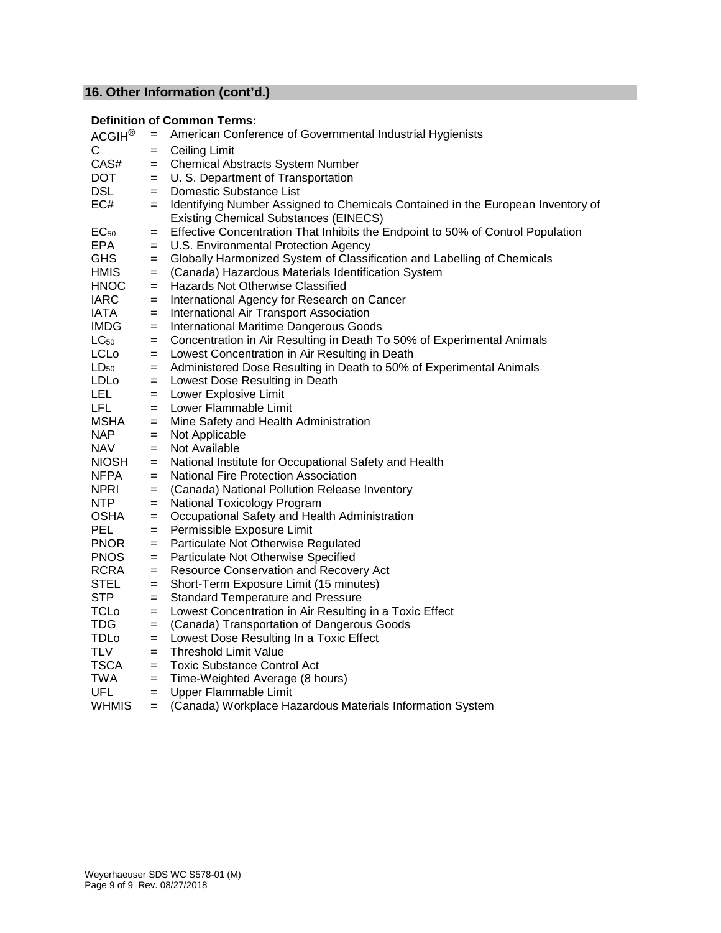# **16. Other Information (cont'd.)**

# **Definition of Common Terms:**

| ACGIH <sup>®</sup> | $=$ | American Conference of Governmental Industrial Hygienists                                                                       |
|--------------------|-----|---------------------------------------------------------------------------------------------------------------------------------|
| C                  | $=$ | <b>Ceiling Limit</b>                                                                                                            |
| CAS#               | $=$ | <b>Chemical Abstracts System Number</b>                                                                                         |
| <b>DOT</b>         | $=$ | U. S. Department of Transportation                                                                                              |
| <b>DSL</b>         | $=$ | Domestic Substance List                                                                                                         |
| EC#                | $=$ | Identifying Number Assigned to Chemicals Contained in the European Inventory of<br><b>Existing Chemical Substances (EINECS)</b> |
| $EC_{50}$          | $=$ | Effective Concentration That Inhibits the Endpoint to 50% of Control Population                                                 |
| EPA                | $=$ | U.S. Environmental Protection Agency                                                                                            |
| <b>GHS</b>         | $=$ | Globally Harmonized System of Classification and Labelling of Chemicals                                                         |
| <b>HMIS</b>        | $=$ | (Canada) Hazardous Materials Identification System                                                                              |
| <b>HNOC</b>        | $=$ | Hazards Not Otherwise Classified                                                                                                |
| <b>IARC</b>        | $=$ | International Agency for Research on Cancer                                                                                     |
| <b>IATA</b>        | $=$ | International Air Transport Association                                                                                         |
| <b>IMDG</b>        | $=$ | International Maritime Dangerous Goods                                                                                          |
| $LC_{50}$          | $=$ | Concentration in Air Resulting in Death To 50% of Experimental Animals                                                          |
| LCLo               | $=$ | Lowest Concentration in Air Resulting in Death                                                                                  |
| $LD_{50}$          | $=$ | Administered Dose Resulting in Death to 50% of Experimental Animals                                                             |
| LDLo               | $=$ | Lowest Dose Resulting in Death                                                                                                  |
| <b>LEL</b>         | $=$ | Lower Explosive Limit                                                                                                           |
| LFL.               | $=$ | Lower Flammable Limit                                                                                                           |
| <b>MSHA</b>        | $=$ | Mine Safety and Health Administration                                                                                           |
| <b>NAP</b>         | $=$ | Not Applicable                                                                                                                  |
| <b>NAV</b>         | $=$ | Not Available                                                                                                                   |
| <b>NIOSH</b>       | $=$ | National Institute for Occupational Safety and Health                                                                           |
| <b>NFPA</b>        | $=$ | National Fire Protection Association                                                                                            |
| <b>NPRI</b>        | $=$ | (Canada) National Pollution Release Inventory                                                                                   |
| <b>NTP</b>         | $=$ | National Toxicology Program                                                                                                     |
| <b>OSHA</b>        | $=$ | Occupational Safety and Health Administration                                                                                   |
| <b>PEL</b>         | $=$ | Permissible Exposure Limit                                                                                                      |
| <b>PNOR</b>        | $=$ | Particulate Not Otherwise Regulated                                                                                             |
| <b>PNOS</b>        | $=$ | Particulate Not Otherwise Specified                                                                                             |
| <b>RCRA</b>        | $=$ | Resource Conservation and Recovery Act                                                                                          |
| <b>STEL</b>        | $=$ | Short-Term Exposure Limit (15 minutes)                                                                                          |
| <b>STP</b>         | $=$ | <b>Standard Temperature and Pressure</b>                                                                                        |
| <b>TCLo</b>        | $=$ | Lowest Concentration in Air Resulting in a Toxic Effect                                                                         |
| TDG                | $=$ | (Canada) Transportation of Dangerous Goods                                                                                      |
| <b>TDLo</b>        | $=$ | Lowest Dose Resulting In a Toxic Effect                                                                                         |
| <b>TLV</b>         | $=$ | <b>Threshold Limit Value</b>                                                                                                    |
| <b>TSCA</b>        | $=$ | <b>Toxic Substance Control Act</b>                                                                                              |
| TWA                | $=$ | Time-Weighted Average (8 hours)                                                                                                 |
| <b>UFL</b>         | $=$ | Upper Flammable Limit                                                                                                           |
| <b>WHMIS</b>       | $=$ | (Canada) Workplace Hazardous Materials Information System                                                                       |